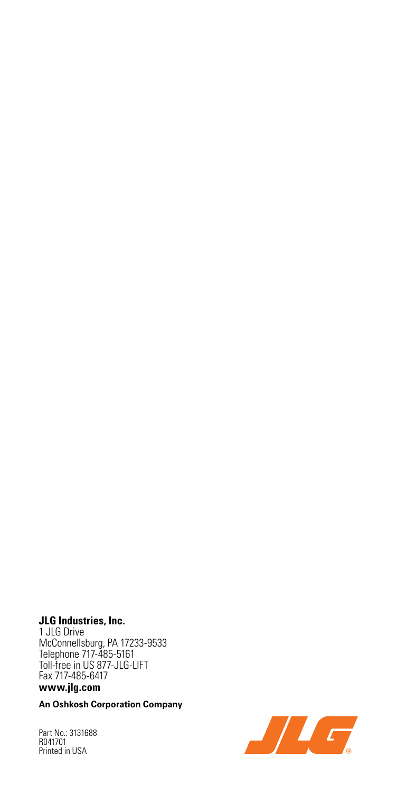### **JLG Industries, Inc.**

1 JLG Drive McConnellsburg, PA 17233-9533 Telephone 717-485-5161 Toll-free in US 877-JLG-LIFT Fax 717-485-6417

### **www.jlg.com**

**An Oshkosh Corporation Company**

Part No.: 3131688 R041701 Printed in USA

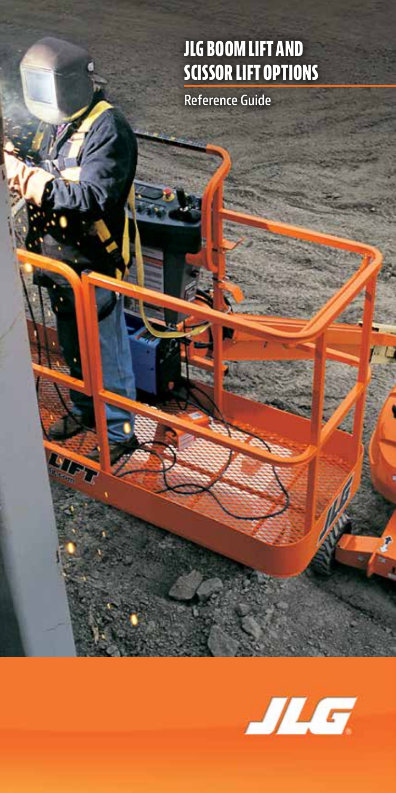## **JLG BOOM LIFT AND SCISSOR LIFT OPTIONS**

**Reference Guide**

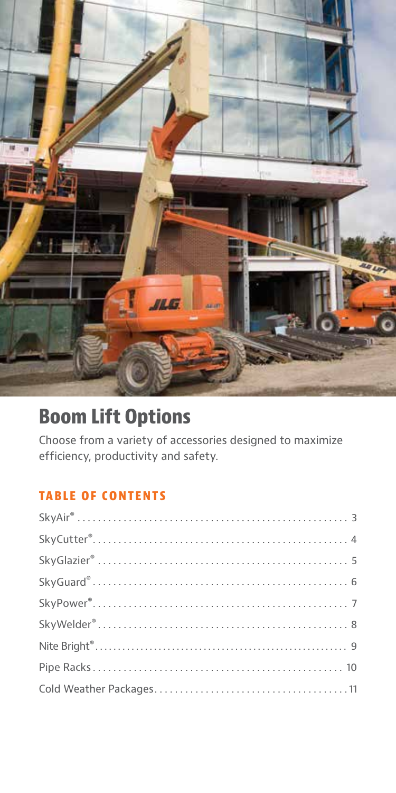

## **Boom Lift Options**

Choose from a variety of accessories designed to maximize efficiency, productivity and safety.

### **TABLE OF CONTENTS**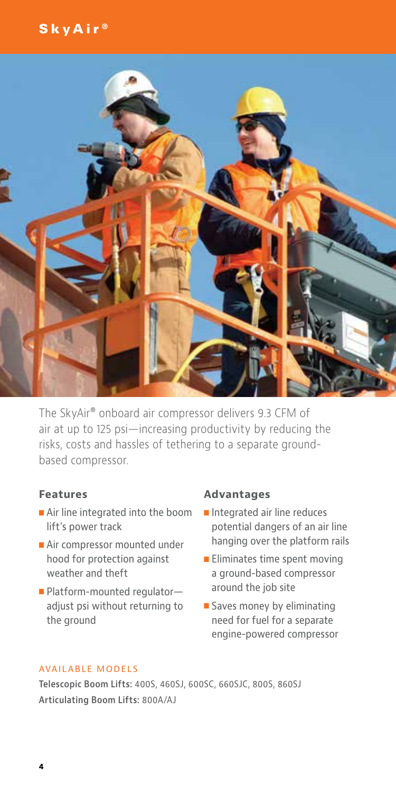### SkyAir ®



The SkyAir® onboard air compressor delivers 9.3 CFM of air at up to 125 psi—increasing productivity by reducing the risks, costs and hassles of tethering to a separate groundbased compressor.

### **Features**

- Air line integrated into the boom lift's power track
- Air compressor mounted under hood for protection against weather and theft
- Platform-mounted regulatoradjust psi without returning to the ground

### **Advantages**

- $\blacksquare$  Integrated air line reduces potential dangers of an air line hanging over the platform rails
- $\blacksquare$  Eliminates time spent moving a ground-based compressor around the job site
- $\square$  Saves money by eliminating need for fuel for a separate engine-powered compressor

#### AVAILABLE MODELS

**Telescopic Boom Lifts:** 400S, 460SJ, 600SC, 660SJC, 800S, 860SJ **Articulating Boom Lifts:** 800A/AJ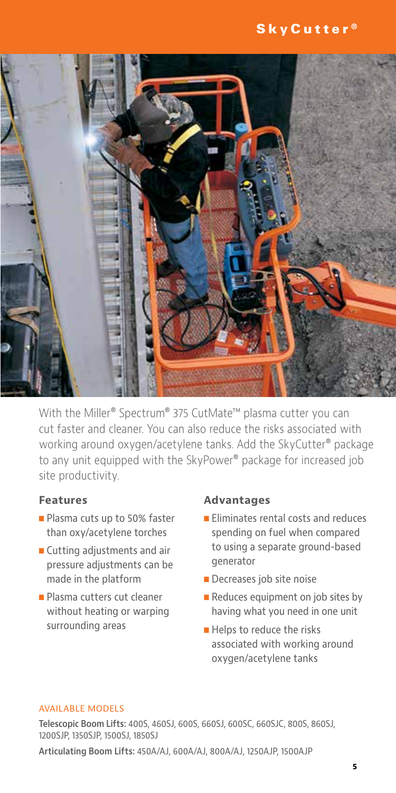

With the Miller® Spectrum® 375 CutMate™ plasma cutter you can cut faster and cleaner. You can also reduce the risks associated with working around oxygen/acetylene tanks. Add the SkyCutter® package to any unit equipped with the SkyPower® package for increased job site productivity.

### **Features**

- Plasma cuts up to 50% faster than oxy/acetylene torches
- **n** Cutting adjustments and air pressure adjustments can be made in the platform
- Plasma cutters cut cleaner without heating or warping surrounding areas

### **Advantages**

- **Eliminates rental costs and reduces** spending on fuel when compared to using a separate ground-based generator
- Decreases job site noise
- Reduces equipment on job sites by having what you need in one unit
- $\blacksquare$  Helps to reduce the risks associated with working around oxygen/acetylene tanks

#### AVAILABLE MODELS

**Telescopic Boom Lifts:** 400S, 460SJ, 600S, 660SJ, 600SC, 660SJC, 800S, 860SJ, 1200SJP, 1350SJP, 1500SJ, 1850SJ

**Articulating Boom Lifts:** 450A/AJ, 600A/AJ, 800A/AJ, 1250AJP, 1500AJP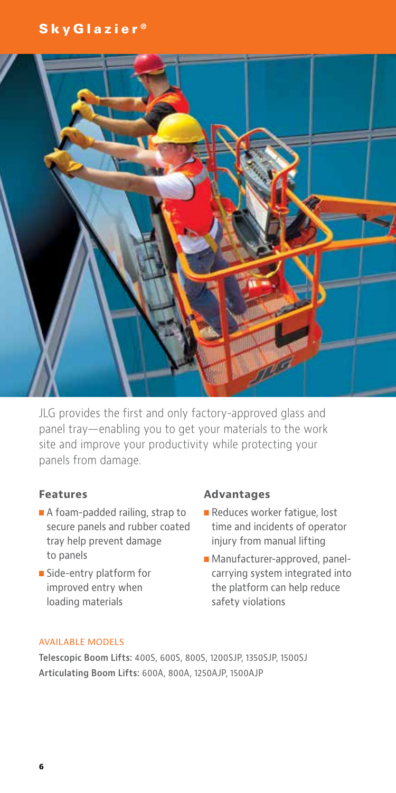### SkyGlazier ®



JLG provides the first and only factory-approved glass and panel tray—enabling you to get your materials to the work site and improve your productivity while protecting your panels from damage.

### **Features**

- $\blacksquare$  A foam-padded railing, strap to secure panels and rubber coated tray help prevent damage to panels
- Side-entry platform for improved entry when loading materials

#### **Advantages**

- Reduces worker fatique, lost time and incidents of operator injury from manual lifting
- Manufacturer-approved, panelcarrying system integrated into the platform can help reduce safety violations

#### AVAILABLE MODELS

**Telescopic Boom Lifts:** 400S, 600S, 800S, 1200SJP, 1350SJP, 1500SJ **Articulating Boom Lifts:** 600A, 800A, 1250AJP, 1500AJP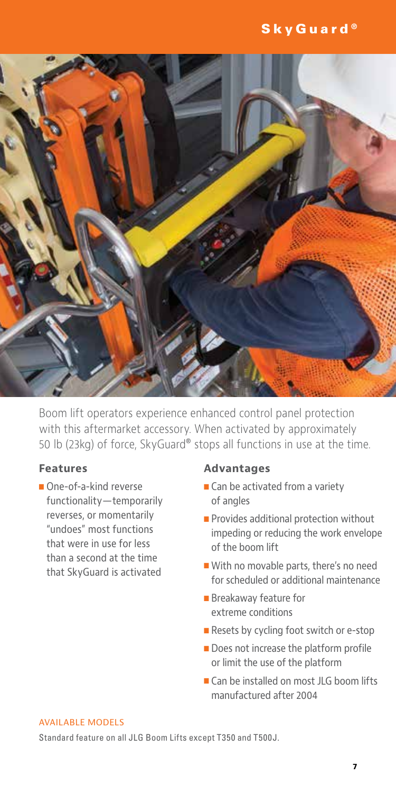### SkyGuard<sup>®</sup>



Boom lift operators experience enhanced control panel protection with this aftermarket accessory. When activated by approximately 50 lb (23kg) of force, SkyGuard® stops all functions in use at the time.

### **Features**

One-of-a-kind reverse functionality—temporarily reverses, or momentarily "undoes" most functions that were in use for less than a second at the time that SkyGuard is activated

#### **Advantages**

- $\blacksquare$  Can be activated from a variety of angles
- $\blacksquare$  Provides additional protection without impeding or reducing the work envelope of the boom lift
- With no movable parts, there's no need for scheduled or additional maintenance
- **Breakaway feature for** extreme conditions
- Resets by cycling foot switch or e-stop
- $\blacksquare$  Does not increase the platform profile or limit the use of the platform
- Can be installed on most JLG boom lifts manufactured after 2004

#### AVAILABLE MODELS

Standard feature on all JLG Boom Lifts except T350 and T500J.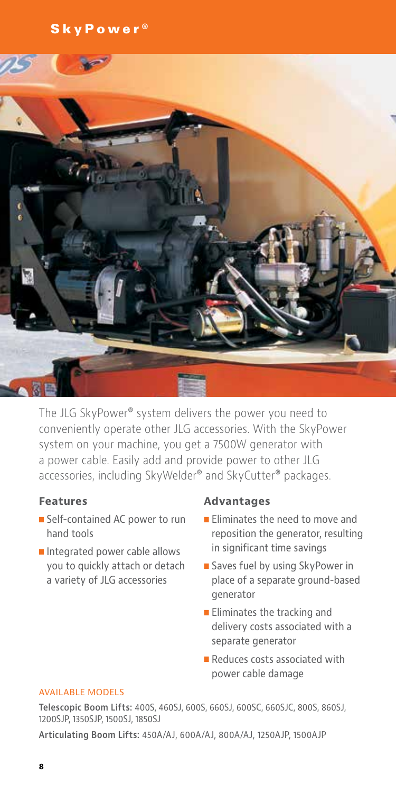SkyPower<sup>®</sup>



The JLG SkyPower® system delivers the power you need to conveniently operate other JLG accessories. With the SkyPower system on your machine, you get a 7500W generator with a power cable. Easily add and provide power to other JLG accessories, including SkyWelder® and SkyCutter® packages.

### **Features**

- Self-contained AC power to run hand tools
- Integrated power cable allows you to quickly attach or detach a variety of JLG accessories

### **Advantages**

- **Eliminates the need to move and** reposition the generator, resulting in significant time savings
- Saves fuel by using SkyPower in place of a separate ground-based generator
- $\blacksquare$  Eliminates the tracking and delivery costs associated with a separate generator
- $\blacksquare$  Reduces costs associated with power cable damage

#### AVAILABLE MODELS

**Telescopic Boom Lifts:** 400S, 460SJ, 600S, 660SJ, 600SC, 660SJC, 800S, 860SJ, 1200SJP, 1350SJP, 1500SJ, 1850SJ

**Articulating Boom Lifts:** 450A/AJ, 600A/AJ, 800A/AJ, 1250AJP, 1500AJP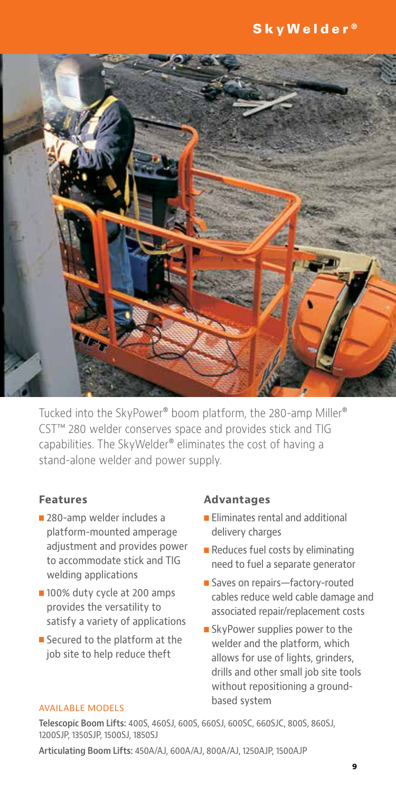

Tucked into the SkyPower® boom platform, the 280-amp Miller® CST™ 280 welder conserves space and provides stick and TIG capabilities. The SkyWelder® eliminates the cost of having a stand-alone welder and power supply.

### **Features**

- 280-amp welder includes a platform-mounted amperage adjustment and provides power to accommodate stick and TIG welding applications
- 100% duty cycle at 200 amps provides the versatility to satisfy a variety of applications
- $\blacksquare$  Secured to the platform at the job site to help reduce theft

### **Advantages**

- $\blacksquare$  Eliminates rental and additional delivery charges
- $\blacksquare$  Reduces fuel costs by eliminating need to fuel a separate generator
- Saves on repairs—factory-routed cables reduce weld cable damage and associated repair/replacement costs
- SkyPower supplies power to the welder and the platform, which allows for use of lights, grinders, drills and other small job site tools without repositioning a groundbased system

#### AVAILABLE MODELS

**Telescopic Boom Lifts:** 400S, 460SJ, 600S, 660SJ, 600SC, 660SJC, 800S, 860SJ, 1200SJP, 1350SJP, 1500SJ, 1850SJ

**Articulating Boom Lifts:** 450A/AJ, 600A/AJ, 800A/AJ, 1250AJP, 1500AJP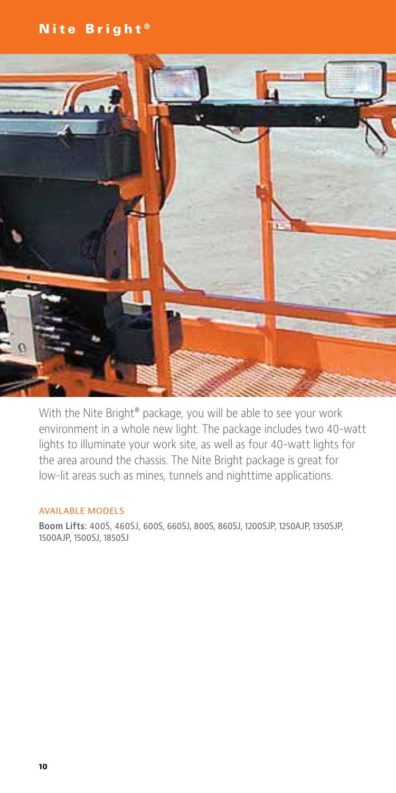### Nite Bright ®



With the Nite Bright® package, you will be able to see your work environment in a whole new light. The package includes two 40-watt lights to illuminate your work site, as well as four 40-watt lights for the area around the chassis. The Nite Bright package is great for low-lit areas such as mines, tunnels and nighttime applications.

#### AVAILABLE MODELS

**Boom Lifts:** 400S, 460SJ, 600S, 660SJ, 800S, 860SJ, 1200SJP, 1250AJP, 1350SJP, 1500AJP, 1500SJ, 1850SJ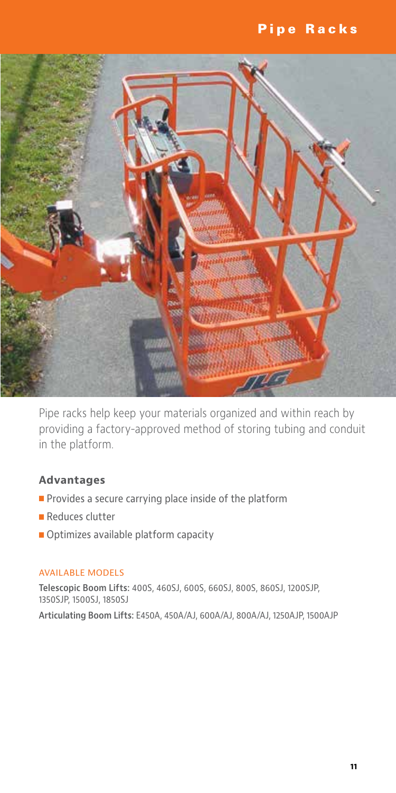### Pipe Racks



Pipe racks help keep your materials organized and within reach by providing a factory-approved method of storing tubing and conduit in the platform.

### **Advantages**

- $\blacksquare$  Provides a secure carrying place inside of the platform
- $\blacksquare$  Reduces clutter
- **n** Optimizes available platform capacity

#### AVAILABLE MODELS

**Telescopic Boom Lifts:** 400S, 460SJ, 600S, 660SJ, 800S, 860SJ, 1200SJP, 1350SJP, 1500SJ, 1850SJ

**Articulating Boom Lifts:** E450A, 450A/AJ, 600A/AJ, 800A/AJ, 1250AJP, 1500AJP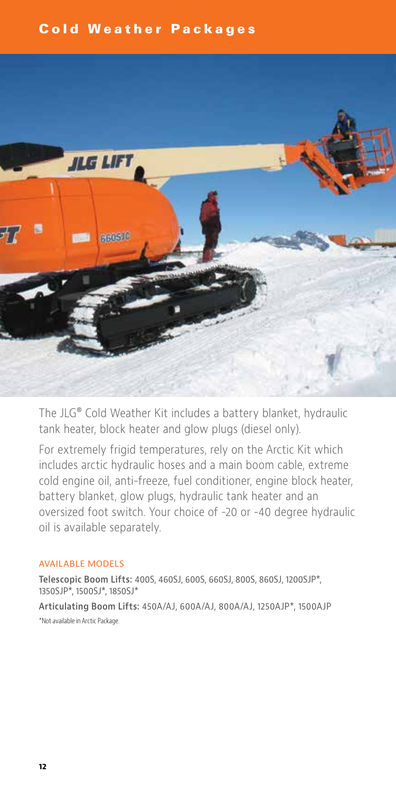### Cold Weather Packages



The JLG® Cold Weather Kit includes a battery blanket, hydraulic tank heater, block heater and glow plugs (diesel only).

For extremely frigid temperatures, rely on the Arctic Kit which includes arctic hydraulic hoses and a main boom cable, extreme cold engine oil, anti-freeze, fuel conditioner, engine block heater, battery blanket, glow plugs, hydraulic tank heater and an oversized foot switch. Your choice of -20 or -40 degree hydraulic oil is available separately.

### AVAILABLE MODELS

**Telescopic Boom Lifts:** 400S, 460SJ, 600S, 660SJ, 800S, 860SJ, 1200SJP\*, 1350SJP\*, 1500SJ\*, 1850SJ\*

**Articulating Boom Lifts:** 450A/AJ, 600A/AJ, 800A/AJ, 1250AJP\*, 1500AJP \*Not available in Arctic Package.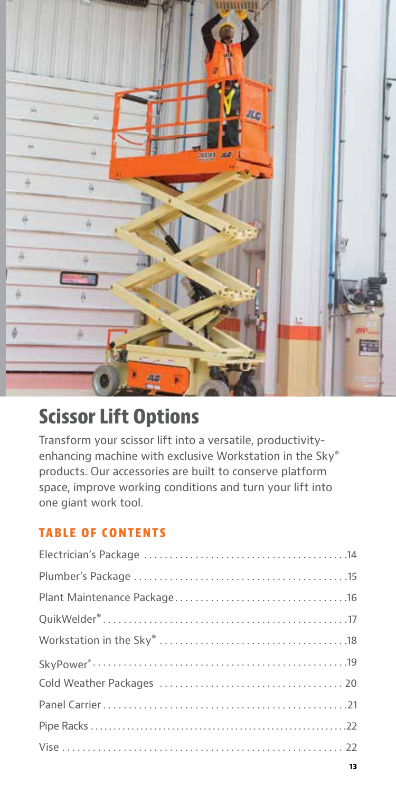

# **Scissor Lift Options**

Transform your scissor lift into a versatile, productivityenhancing machine with exclusive Workstation in the Sky® products. Our accessories are built to conserve platform space, improve working conditions and turn your lift into one giant work tool.

### **TABLE OF CONTENTS**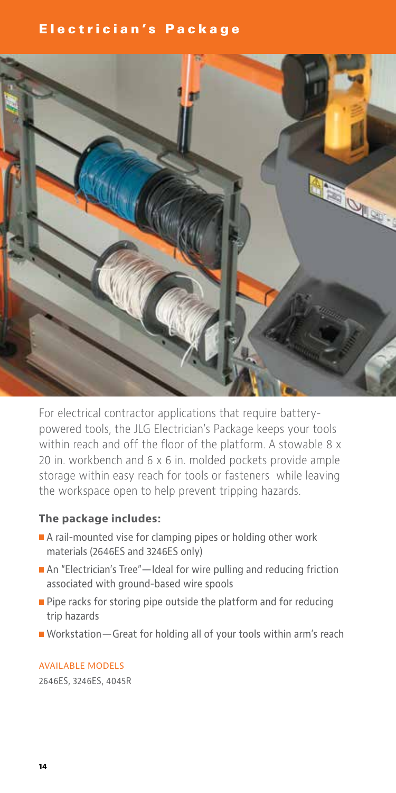### Electrician's Package



For electrical contractor applications that require batterypowered tools, the JLG Electrician's Package keeps your tools within reach and off the floor of the platform. A stowable 8 x 20 in. workbench and 6 x 6 in. molded pockets provide ample storage within easy reach for tools or fasteners while leaving the workspace open to help prevent tripping hazards.

### **The package includes:**

- A rail-mounted vise for clamping pipes or holding other work materials (2646ES and 3246ES only)
- An "Electrician's Tree"—Ideal for wire pulling and reducing friction associated with ground-based wire spools
- $\blacksquare$  Pipe racks for storing pipe outside the platform and for reducing trip hazards
- Workstation Great for holding all of your tools within arm's reach

### AVAILABLE MODELS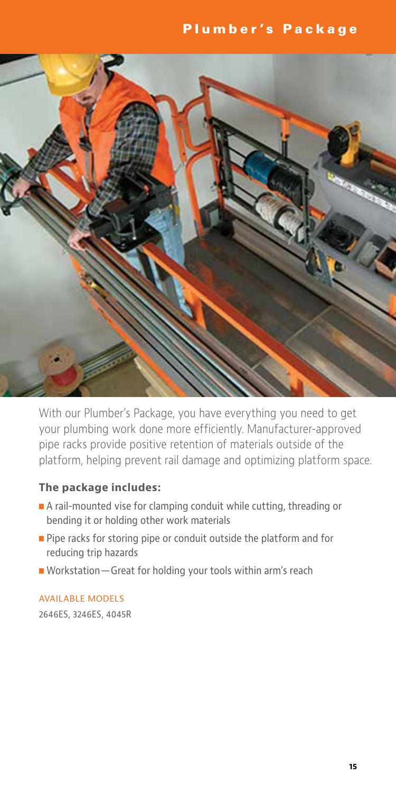### Plumber's Package



With our Plumber's Package, you have everything you need to get your plumbing work done more efficiently. Manufacturer-approved pipe racks provide positive retention of materials outside of the platform, helping prevent rail damage and optimizing platform space.

### **The package includes:**

- A rail-mounted vise for clamping conduit while cutting, threading or bending it or holding other work materials
- $\blacksquare$  Pipe racks for storing pipe or conduit outside the platform and for reducing trip hazards
- $\blacksquare$  Workstation Great for holding your tools within arm's reach

### AVAILABLE MODELS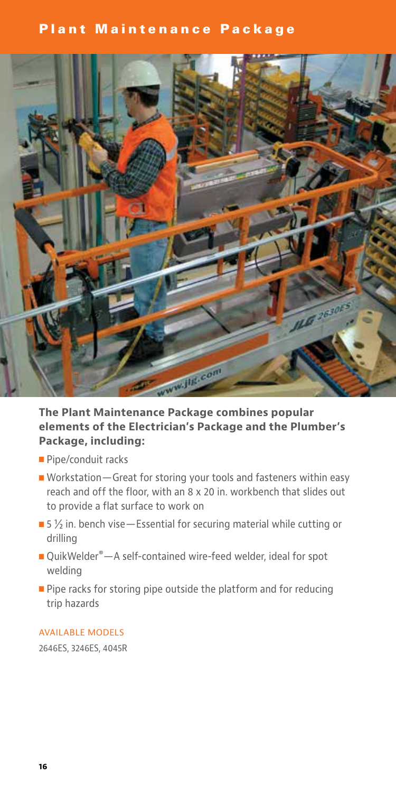### Plant Maintenance Package



### **The Plant Maintenance Package combines popular elements of the Electrician's Package and the Plumber's Package, including:**

- Pipe/conduit racks
- Workstation Great for storing your tools and fasteners within easy reach and off the floor, with an 8 x 20 in. workbench that slides out to provide a flat surface to work on
- $\blacksquare$  5  $\frac{1}{2}$  in. bench vise—Essential for securing material while cutting or drilling
- QuikWelder®—A self-contained wire-feed welder, ideal for spot welding
- $\blacksquare$  Pipe racks for storing pipe outside the platform and for reducing trip hazards

#### AVAILABLE MODELS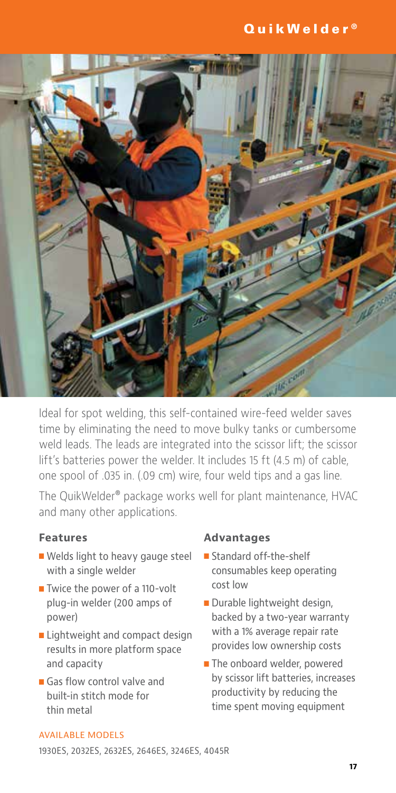### QuikWelder ®



Ideal for spot welding, this self-contained wire-feed welder saves time by eliminating the need to move bulky tanks or cumbersome weld leads. The leads are integrated into the scissor lift; the scissor lift's batteries power the welder. It includes 15 ft (4.5 m) of cable, one spool of .035 in. (.09 cm) wire, four weld tips and a gas line.

The QuikWelder® package works well for plant maintenance, HVAC and many other applications.

### **Features**

- Welds light to heavy gauge steel with a single welder
- Twice the power of a 110-volt plug-in welder (200 amps of power)
- **E** Lightweight and compact design results in more platform space and capacity
- $\blacksquare$  Gas flow control valve and built-in stitch mode for thin metal

### **Advantages**

- Standard off-the-shelf consumables keep operating cost low
- Durable lightweight design, backed by a two-year warranty with a 1% average repair rate provides low ownership costs
- **n** The onboard welder, powered by scissor lift batteries, increases productivity by reducing the time spent moving equipment

#### AVAILABLE MODELS

1930ES, 2032ES, 2632ES, 2646ES, 3246ES, 4045R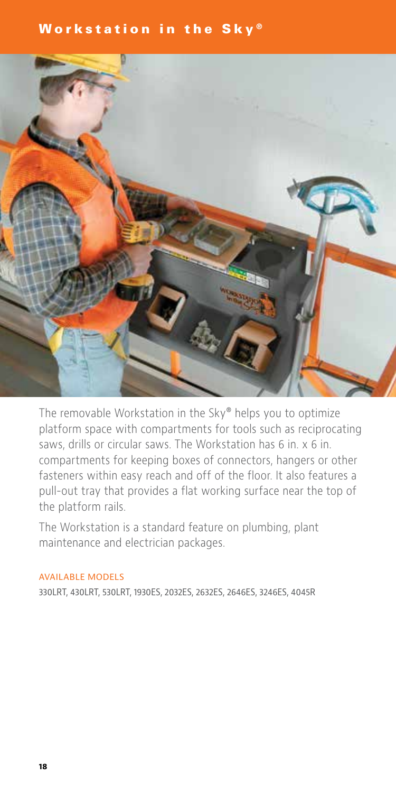### Workstation in the Sky®



The removable Workstation in the Sky® helps you to optimize platform space with compartments for tools such as reciprocating saws, drills or circular saws. The Workstation has 6 in. x 6 in. compartments for keeping boxes of connectors, hangers or other fasteners within easy reach and off of the floor. It also features a pull-out tray that provides a flat working surface near the top of the platform rails.

The Workstation is a standard feature on plumbing, plant maintenance and electrician packages.

#### AVAILABLE MODELS

330LRT, 430LRT, 530LRT, 1930ES, 2032ES, 2632ES, 2646ES, 3246ES, 4045R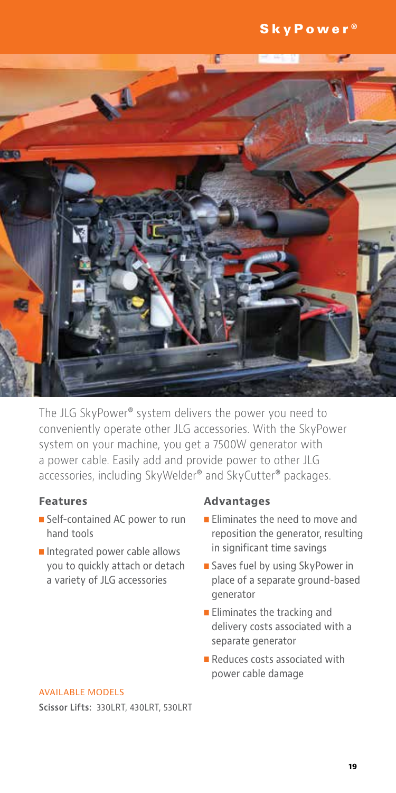

The JLG SkyPower® system delivers the power you need to conveniently operate other JLG accessories. With the SkyPower system on your machine, you get a 7500W generator with a power cable. Easily add and provide power to other JLG accessories, including SkyWelder® and SkyCutter® packages.

### **Features**

- Self-contained AC power to run hand tools
- Integrated power cable allows you to quickly attach or detach a variety of JLG accessories

### **Advantages**

- **Eliminates the need to move and** reposition the generator, resulting in significant time savings
- Saves fuel by using SkyPower in place of a separate ground-based generator
- $\blacksquare$  Eliminates the tracking and delivery costs associated with a separate generator
- $\blacksquare$  Reduces costs associated with power cable damage

#### AVAILABLE MODELS

**Scissor Lifts:** 330LRT, 430LRT, 530LRT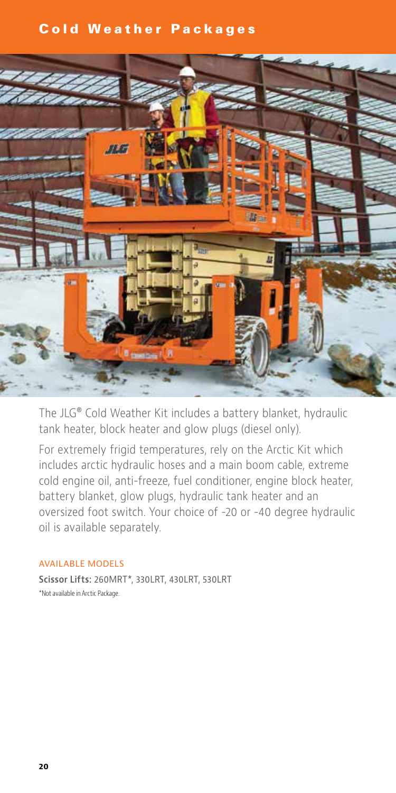### Cold Weather Packages



The JLG® Cold Weather Kit includes a battery blanket, hydraulic tank heater, block heater and glow plugs (diesel only).

For extremely frigid temperatures, rely on the Arctic Kit which includes arctic hydraulic hoses and a main boom cable, extreme cold engine oil, anti-freeze, fuel conditioner, engine block heater, battery blanket, glow plugs, hydraulic tank heater and an oversized foot switch. Your choice of -20 or -40 degree hydraulic oil is available separately.

### AVAILABLE MODELS

**Scissor Lifts:** 260MRT\*, 330LRT, 430LRT, 530LRT \*Not available in Arctic Package.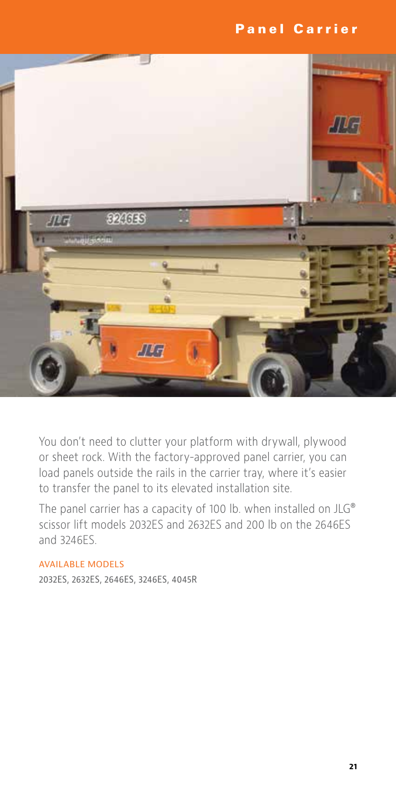### Panel Carrier



You don't need to clutter your platform with drywall, plywood or sheet rock. With the factory-approved panel carrier, you can load panels outside the rails in the carrier tray, where it's easier to transfer the panel to its elevated installation site.

The panel carrier has a capacity of 100 lb. when installed on JLG® scissor lift models 2032ES and 2632ES and 200 lb on the 2646ES and 3246ES.

### AVAILABLE MODELS

2032ES, 2632ES, 2646ES, 3246ES, 4045R